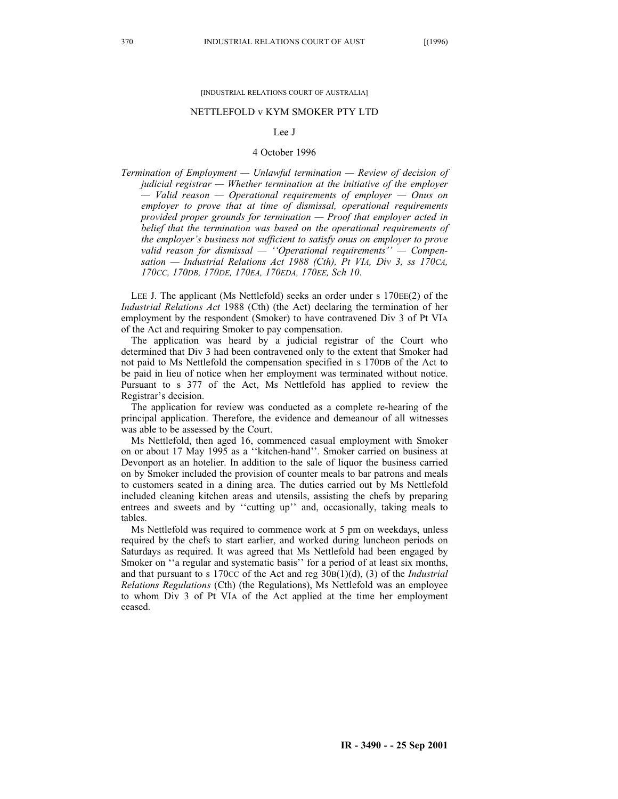## [INDUSTRIAL RELATIONS COURT OF AUSTRALIA]

## NETTLEFOLD v KYM SMOKER PTY LTD

## Lee J

## 4 October 1996

*Termination of Employment — Unlawful termination — Review of decision of judicial registrar — Whether termination at the initiative of the employer — Valid reason — Operational requirements of employer — Onus on employer to prove that at time of dismissal, operational requirements provided proper grounds for termination — Proof that employer acted in belief that the termination was based on the operational requirements of the employer's business not sufficient to satisfy onus on employer to prove valid reason for dismissal — ''Operational requirements'' — Compensation — Industrial Relations Act 1988 (Cth), Pt VIA, Div 3, ss 170CA, 170CC, 170DB, 170DE, 170EA, 170EDA, 170EE, Sch 10*.

LEE J. The applicant (Ms Nettlefold) seeks an order under s 170EE(2) of the *Industrial Relations Act* 1988 (Cth) (the Act) declaring the termination of her employment by the respondent (Smoker) to have contravened Div 3 of Pt VIA of the Act and requiring Smoker to pay compensation.

The application was heard by a judicial registrar of the Court who determined that Div 3 had been contravened only to the extent that Smoker had not paid to Ms Nettlefold the compensation specified in s 170DB of the Act to be paid in lieu of notice when her employment was terminated without notice. Pursuant to s 377 of the Act, Ms Nettlefold has applied to review the Registrar's decision.

The application for review was conducted as a complete re-hearing of the principal application. Therefore, the evidence and demeanour of all witnesses was able to be assessed by the Court.

Ms Nettlefold, then aged 16, commenced casual employment with Smoker on or about 17 May 1995 as a ''kitchen-hand''. Smoker carried on business at Devonport as an hotelier. In addition to the sale of liquor the business carried on by Smoker included the provision of counter meals to bar patrons and meals to customers seated in a dining area. The duties carried out by Ms Nettlefold included cleaning kitchen areas and utensils, assisting the chefs by preparing entrees and sweets and by ''cutting up'' and, occasionally, taking meals to tables.

Ms Nettlefold was required to commence work at 5 pm on weekdays, unless required by the chefs to start earlier, and worked during luncheon periods on Saturdays as required. It was agreed that Ms Nettlefold had been engaged by Smoker on ''a regular and systematic basis'' for a period of at least six months, and that pursuant to s 170CC of the Act and reg 30B(1)(d), (3) of the *Industrial Relations Regulations* (Cth) (the Regulations), Ms Nettlefold was an employee to whom Div 3 of Pt VIA of the Act applied at the time her employment ceased.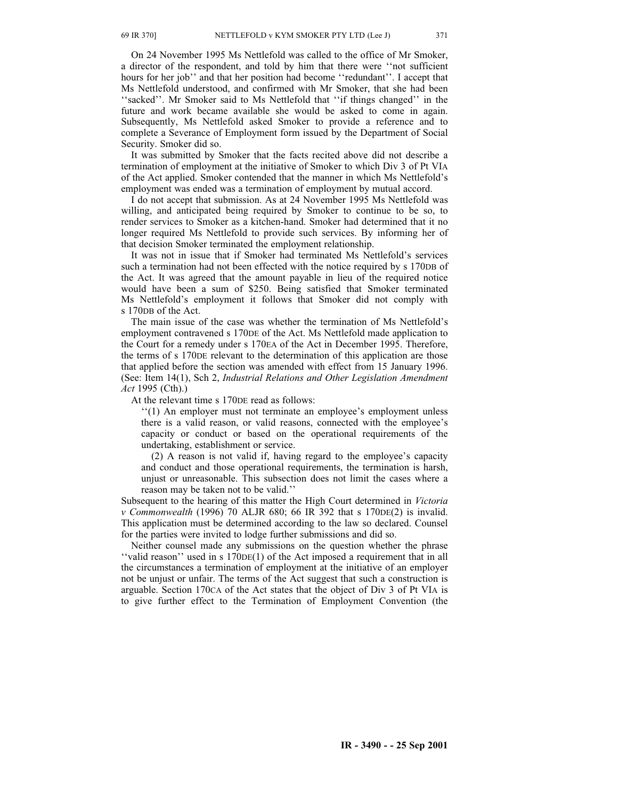On 24 November 1995 Ms Nettlefold was called to the office of Mr Smoker, a director of the respondent, and told by him that there were ''not sufficient hours for her job'' and that her position had become ''redundant''. I accept that Ms Nettlefold understood, and confirmed with Mr Smoker, that she had been "sacked". Mr Smoker said to Ms Nettlefold that "if things changed" in the future and work became available she would be asked to come in again. Subsequently, Ms Nettlefold asked Smoker to provide a reference and to complete a Severance of Employment form issued by the Department of Social Security. Smoker did so.

It was submitted by Smoker that the facts recited above did not describe a termination of employment at the initiative of Smoker to which Div 3 of Pt VIA of the Act applied. Smoker contended that the manner in which Ms Nettlefold's employment was ended was a termination of employment by mutual accord.

I do not accept that submission. As at 24 November 1995 Ms Nettlefold was willing, and anticipated being required by Smoker to continue to be so, to render services to Smoker as a kitchen-hand. Smoker had determined that it no longer required Ms Nettlefold to provide such services. By informing her of that decision Smoker terminated the employment relationship.

It was not in issue that if Smoker had terminated Ms Nettlefold's services such a termination had not been effected with the notice required by s 170DB of the Act. It was agreed that the amount payable in lieu of the required notice would have been a sum of \$250. Being satisfied that Smoker terminated Ms Nettlefold's employment it follows that Smoker did not comply with s 170DB of the Act.

The main issue of the case was whether the termination of Ms Nettlefold's employment contravened s 170DE of the Act. Ms Nettlefold made application to the Court for a remedy under s 170EA of the Act in December 1995. Therefore, the terms of s 170DE relevant to the determination of this application are those that applied before the section was amended with effect from 15 January 1996. (See: Item 14(1), Sch 2, *Industrial Relations and Other Legislation Amendment Act* 1995 (Cth).)

At the relevant time s 170DE read as follows:

"(1) An employer must not terminate an employee's employment unless there is a valid reason, or valid reasons, connected with the employee's capacity or conduct or based on the operational requirements of the undertaking, establishment or service.

(2) A reason is not valid if, having regard to the employee's capacity and conduct and those operational requirements, the termination is harsh, unjust or unreasonable. This subsection does not limit the cases where a reason may be taken not to be valid.''

Subsequent to the hearing of this matter the High Court determined in *Victoria v Commonwealth* (1996) 70 ALJR 680; 66 IR 392 that s 170DE(2) is invalid. This application must be determined according to the law so declared. Counsel for the parties were invited to lodge further submissions and did so.

Neither counsel made any submissions on the question whether the phrase ''valid reason'' used in s 170DE(1) of the Act imposed a requirement that in all the circumstances a termination of employment at the initiative of an employer not be unjust or unfair. The terms of the Act suggest that such a construction is arguable. Section 170CA of the Act states that the object of Div 3 of Pt VIA is to give further effect to the Termination of Employment Convention (the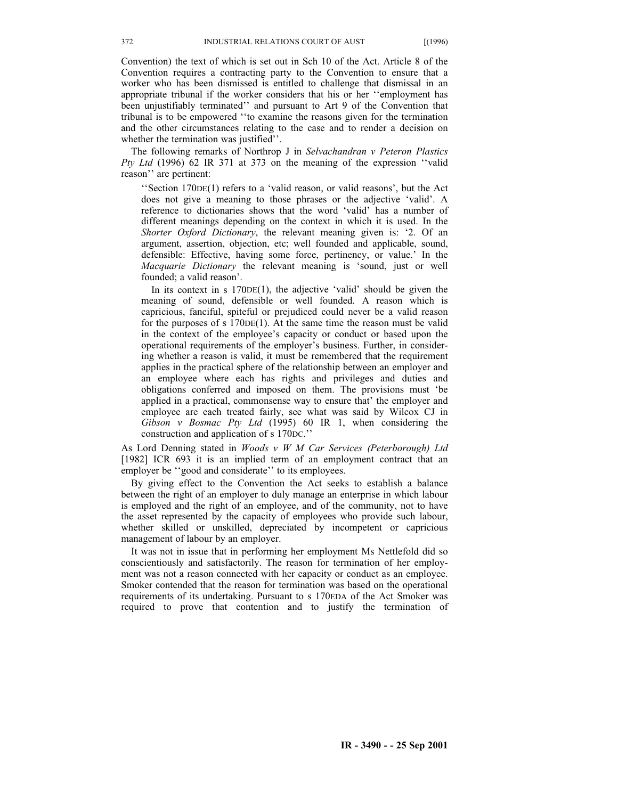Convention) the text of which is set out in Sch 10 of the Act. Article 8 of the Convention requires a contracting party to the Convention to ensure that a worker who has been dismissed is entitled to challenge that dismissal in an appropriate tribunal if the worker considers that his or her ''employment has been unjustifiably terminated'' and pursuant to Art 9 of the Convention that tribunal is to be empowered ''to examine the reasons given for the termination and the other circumstances relating to the case and to render a decision on whether the termination was justified''.

The following remarks of Northrop J in *Selvachandran v Peteron Plastics Pty Ltd* (1996) 62 IR 371 at 373 on the meaning of the expression ''valid reason'' are pertinent:

''Section 170DE(1) refers to a 'valid reason, or valid reasons', but the Act does not give a meaning to those phrases or the adjective 'valid'. A reference to dictionaries shows that the word 'valid' has a number of different meanings depending on the context in which it is used. In the *Shorter Oxford Dictionary*, the relevant meaning given is: '2. Of an argument, assertion, objection, etc; well founded and applicable, sound, defensible: Effective, having some force, pertinency, or value.' In the *Macquarie Dictionary* the relevant meaning is 'sound, just or well founded; a valid reason'.

In its context in s 170DE(1), the adjective 'valid' should be given the meaning of sound, defensible or well founded. A reason which is capricious, fanciful, spiteful or prejudiced could never be a valid reason for the purposes of s 170DE(1). At the same time the reason must be valid in the context of the employee's capacity or conduct or based upon the operational requirements of the employer's business. Further, in considering whether a reason is valid, it must be remembered that the requirement applies in the practical sphere of the relationship between an employer and an employee where each has rights and privileges and duties and obligations conferred and imposed on them. The provisions must 'be applied in a practical, commonsense way to ensure that' the employer and employee are each treated fairly, see what was said by Wilcox CJ in *Gibson v Bosmac Pty Ltd* (1995) 60 IR 1, when considering the construction and application of s 170DC.''

As Lord Denning stated in *WoodsvWMCar Services (Peterborough) Ltd* [1982] ICR 693 it is an implied term of an employment contract that an employer be ''good and considerate'' to its employees.

By giving effect to the Convention the Act seeks to establish a balance between the right of an employer to duly manage an enterprise in which labour is employed and the right of an employee, and of the community, not to have the asset represented by the capacity of employees who provide such labour, whether skilled or unskilled, depreciated by incompetent or capricious management of labour by an employer.

It was not in issue that in performing her employment Ms Nettlefold did so conscientiously and satisfactorily. The reason for termination of her employment was not a reason connected with her capacity or conduct as an employee. Smoker contended that the reason for termination was based on the operational requirements of its undertaking. Pursuant to s 170EDA of the Act Smoker was required to prove that contention and to justify the termination of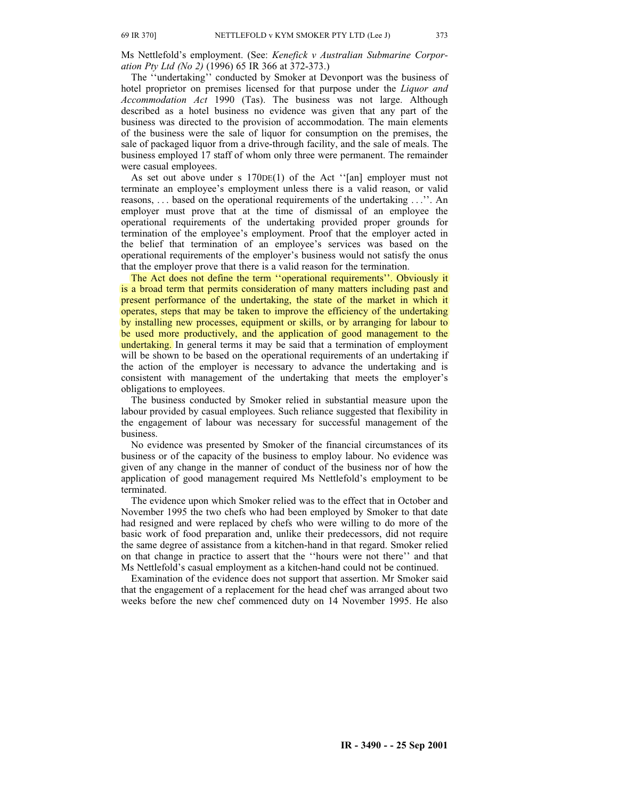Ms Nettlefold's employment. (See: *Kenefick v Australian Submarine Corporation Pty Ltd (No 2)* (1996) 65 IR 366 at 372-373.)

The ''undertaking'' conducted by Smoker at Devonport was the business of hotel proprietor on premises licensed for that purpose under the *Liquor and Accommodation Act* 1990 (Tas). The business was not large. Although described as a hotel business no evidence was given that any part of the business was directed to the provision of accommodation. The main elements of the business were the sale of liquor for consumption on the premises, the sale of packaged liquor from a drive-through facility, and the sale of meals. The business employed 17 staff of whom only three were permanent. The remainder were casual employees.

As set out above under s 170DE(1) of the Act ''[an] employer must not terminate an employee's employment unless there is a valid reason, or valid reasons, . . . based on the operational requirements of the undertaking . . .''. An employer must prove that at the time of dismissal of an employee the operational requirements of the undertaking provided proper grounds for termination of the employee's employment. Proof that the employer acted in the belief that termination of an employee's services was based on the operational requirements of the employer's business would not satisfy the onus that the employer prove that there is a valid reason for the termination.

The Act does not define the term ''operational requirements''. Obviously it is a broad term that permits consideration of many matters including past and present performance of the undertaking, the state of the market in which it operates, steps that may be taken to improve the efficiency of the undertaking by installing new processes, equipment or skills, or by arranging for labour to be used more productively, and the application of good management to the undertaking. In general terms it may be said that a termination of employment will be shown to be based on the operational requirements of an undertaking if the action of the employer is necessary to advance the undertaking and is consistent with management of the undertaking that meets the employer's obligations to employees.

The business conducted by Smoker relied in substantial measure upon the labour provided by casual employees. Such reliance suggested that flexibility in the engagement of labour was necessary for successful management of the business.

No evidence was presented by Smoker of the financial circumstances of its business or of the capacity of the business to employ labour. No evidence was given of any change in the manner of conduct of the business nor of how the application of good management required Ms Nettlefold's employment to be terminated.

The evidence upon which Smoker relied was to the effect that in October and November 1995 the two chefs who had been employed by Smoker to that date had resigned and were replaced by chefs who were willing to do more of the basic work of food preparation and, unlike their predecessors, did not require the same degree of assistance from a kitchen-hand in that regard. Smoker relied on that change in practice to assert that the ''hours were not there'' and that Ms Nettlefold's casual employment as a kitchen-hand could not be continued.

Examination of the evidence does not support that assertion. Mr Smoker said that the engagement of a replacement for the head chef was arranged about two weeks before the new chef commenced duty on 14 November 1995. He also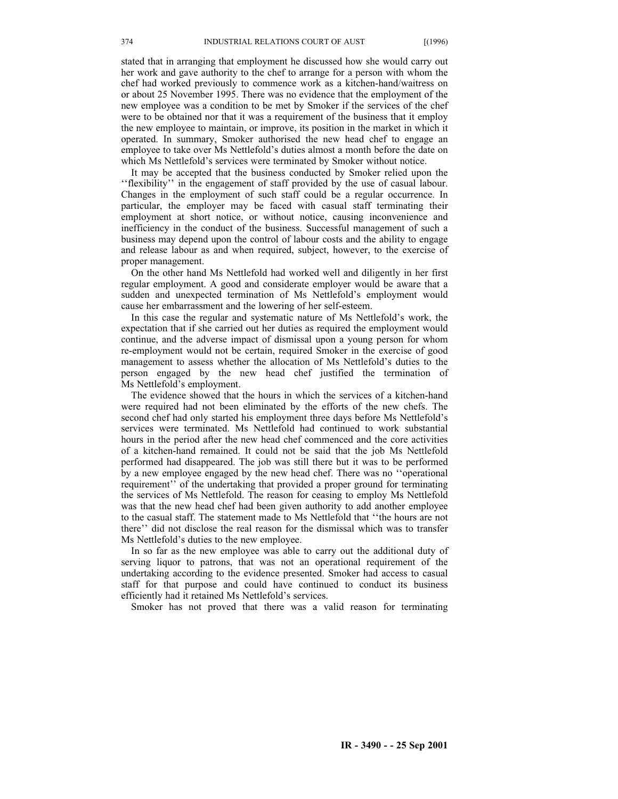stated that in arranging that employment he discussed how she would carry out her work and gave authority to the chef to arrange for a person with whom the chef had worked previously to commence work as a kitchen-hand/waitress on or about 25 November 1995. There was no evidence that the employment of the new employee was a condition to be met by Smoker if the services of the chef were to be obtained nor that it was a requirement of the business that it employ the new employee to maintain, or improve, its position in the market in which it operated. In summary, Smoker authorised the new head chef to engage an employee to take over Ms Nettlefold's duties almost a month before the date on which Ms Nettlefold's services were terminated by Smoker without notice.

It may be accepted that the business conducted by Smoker relied upon the ''flexibility'' in the engagement of staff provided by the use of casual labour. Changes in the employment of such staff could be a regular occurrence. In particular, the employer may be faced with casual staff terminating their employment at short notice, or without notice, causing inconvenience and inefficiency in the conduct of the business. Successful management of such a business may depend upon the control of labour costs and the ability to engage and release labour as and when required, subject, however, to the exercise of proper management.

On the other hand Ms Nettlefold had worked well and diligently in her first regular employment. A good and considerate employer would be aware that a sudden and unexpected termination of Ms Nettlefold's employment would cause her embarrassment and the lowering of her self-esteem.

In this case the regular and systematic nature of Ms Nettlefold's work, the expectation that if she carried out her duties as required the employment would continue, and the adverse impact of dismissal upon a young person for whom re-employment would not be certain, required Smoker in the exercise of good management to assess whether the allocation of Ms Nettlefold's duties to the person engaged by the new head chef justified the termination of Ms Nettlefold's employment.

The evidence showed that the hours in which the services of a kitchen-hand were required had not been eliminated by the efforts of the new chefs. The second chef had only started his employment three days before Ms Nettlefold's services were terminated. Ms Nettlefold had continued to work substantial hours in the period after the new head chef commenced and the core activities of a kitchen-hand remained. It could not be said that the job Ms Nettlefold performed had disappeared. The job was still there but it was to be performed by a new employee engaged by the new head chef. There was no ''operational requirement'' of the undertaking that provided a proper ground for terminating the services of Ms Nettlefold. The reason for ceasing to employ Ms Nettlefold was that the new head chef had been given authority to add another employee to the casual staff. The statement made to Ms Nettlefold that ''the hours are not there'' did not disclose the real reason for the dismissal which was to transfer Ms Nettlefold's duties to the new employee.

In so far as the new employee was able to carry out the additional duty of serving liquor to patrons, that was not an operational requirement of the undertaking according to the evidence presented. Smoker had access to casual staff for that purpose and could have continued to conduct its business efficiently had it retained Ms Nettlefold's services.

Smoker has not proved that there was a valid reason for terminating